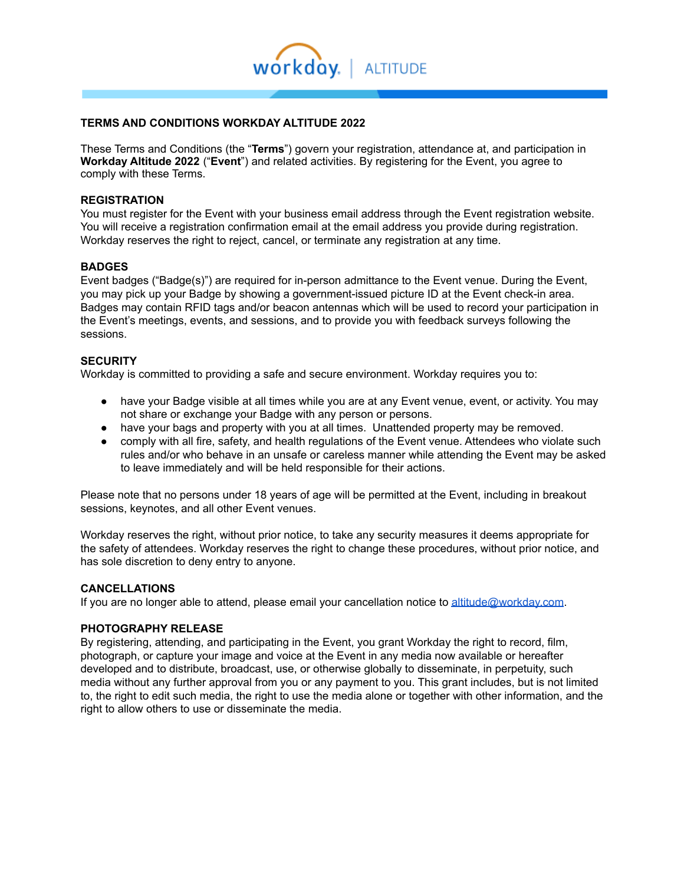

# **TERMS AND CONDITIONS WORKDAY ALTITUDE 2022**

These Terms and Conditions (the "**Terms**") govern your registration, attendance at, and participation in **Workday Altitude 2022** ("**Event**") and related activities. By registering for the Event, you agree to comply with these Terms.

#### **REGISTRATION**

You must register for the Event with your business email address through the Event registration website. You will receive a registration confirmation email at the email address you provide during registration. Workday reserves the right to reject, cancel, or terminate any registration at any time.

#### **BADGES**

Event badges ("Badge(s)") are required for in-person admittance to the Event venue. During the Event, you may pick up your Badge by showing a government-issued picture ID at the Event check-in area. Badges may contain RFID tags and/or beacon antennas which will be used to record your participation in the Event's meetings, events, and sessions, and to provide you with feedback surveys following the sessions.

#### **SECURITY**

Workday is committed to providing a safe and secure environment. Workday requires you to:

- have your Badge visible at all times while you are at any Event venue, event, or activity. You may not share or exchange your Badge with any person or persons.
- have your bags and property with you at all times. Unattended property may be removed.
- comply with all fire, safety, and health regulations of the Event venue. Attendees who violate such rules and/or who behave in an unsafe or careless manner while attending the Event may be asked to leave immediately and will be held responsible for their actions.

Please note that no persons under 18 years of age will be permitted at the Event, including in breakout sessions, keynotes, and all other Event venues.

Workday reserves the right, without prior notice, to take any security measures it deems appropriate for the safety of attendees. Workday reserves the right to change these procedures, without prior notice, and has sole discretion to deny entry to anyone.

#### **CANCELLATIONS**

If you are no longer able to attend, please email your cancellation notice to [altitude@workday.com.](mailto:altitude@workday.com?subject=Workday%20SKO%20Inquiry)

## **PHOTOGRAPHY RELEASE**

By registering, attending, and participating in the Event, you grant Workday the right to record, film, photograph, or capture your image and voice at the Event in any media now available or hereafter developed and to distribute, broadcast, use, or otherwise globally to disseminate, in perpetuity, such media without any further approval from you or any payment to you. This grant includes, but is not limited to, the right to edit such media, the right to use the media alone or together with other information, and the right to allow others to use or disseminate the media.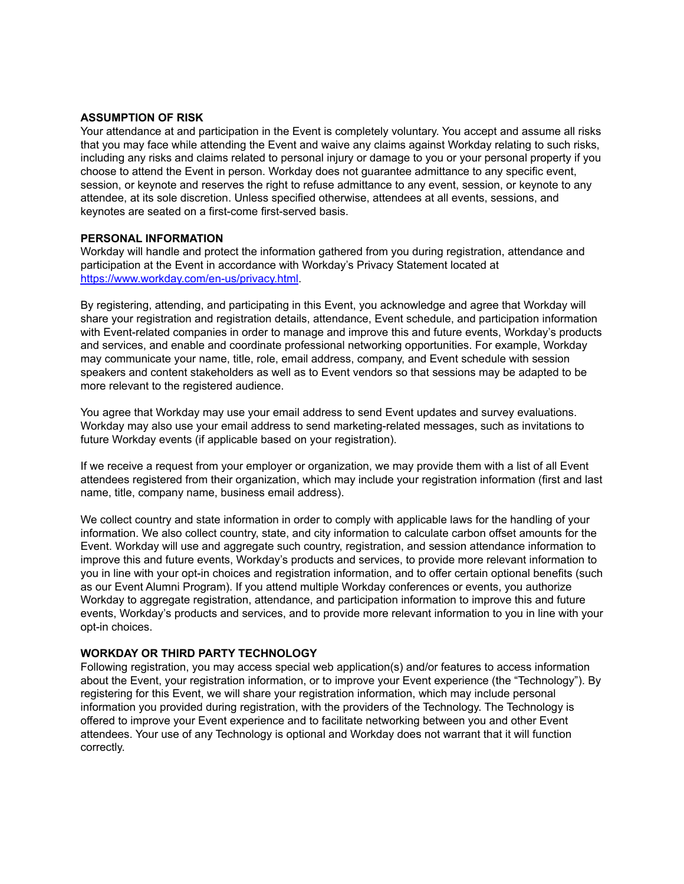## **ASSUMPTION OF RISK**

Your attendance at and participation in the Event is completely voluntary. You accept and assume all risks that you may face while attending the Event and waive any claims against Workday relating to such risks, including any risks and claims related to personal injury or damage to you or your personal property if you choose to attend the Event in person. Workday does not guarantee admittance to any specific event, session, or keynote and reserves the right to refuse admittance to any event, session, or keynote to any attendee, at its sole discretion. Unless specified otherwise, attendees at all events, sessions, and keynotes are seated on a first-come first-served basis.

#### **PERSONAL INFORMATION**

Workday will handle and protect the information gathered from you during registration, attendance and participation at the Event in accordance with Workday's Privacy Statement located at <https://www.workday.com/en-us/privacy.html>.

By registering, attending, and participating in this Event, you acknowledge and agree that Workday will share your registration and registration details, attendance, Event schedule, and participation information with Event-related companies in order to manage and improve this and future events, Workday's products and services, and enable and coordinate professional networking opportunities. For example, Workday may communicate your name, title, role, email address, company, and Event schedule with session speakers and content stakeholders as well as to Event vendors so that sessions may be adapted to be more relevant to the registered audience.

You agree that Workday may use your email address to send Event updates and survey evaluations. Workday may also use your email address to send marketing-related messages, such as invitations to future Workday events (if applicable based on your registration).

If we receive a request from your employer or organization, we may provide them with a list of all Event attendees registered from their organization, which may include your registration information (first and last name, title, company name, business email address).

We collect country and state information in order to comply with applicable laws for the handling of your information. We also collect country, state, and city information to calculate carbon offset amounts for the Event. Workday will use and aggregate such country, registration, and session attendance information to improve this and future events, Workday's products and services, to provide more relevant information to you in line with your opt-in choices and registration information, and to offer certain optional benefits (such as our Event Alumni Program). If you attend multiple Workday conferences or events, you authorize Workday to aggregate registration, attendance, and participation information to improve this and future events, Workday's products and services, and to provide more relevant information to you in line with your opt-in choices.

## **WORKDAY OR THIRD PARTY TECHNOLOGY**

Following registration, you may access special web application(s) and/or features to access information about the Event, your registration information, or to improve your Event experience (the "Technology"). By registering for this Event, we will share your registration information, which may include personal information you provided during registration, with the providers of the Technology. The Technology is offered to improve your Event experience and to facilitate networking between you and other Event attendees. Your use of any Technology is optional and Workday does not warrant that it will function correctly.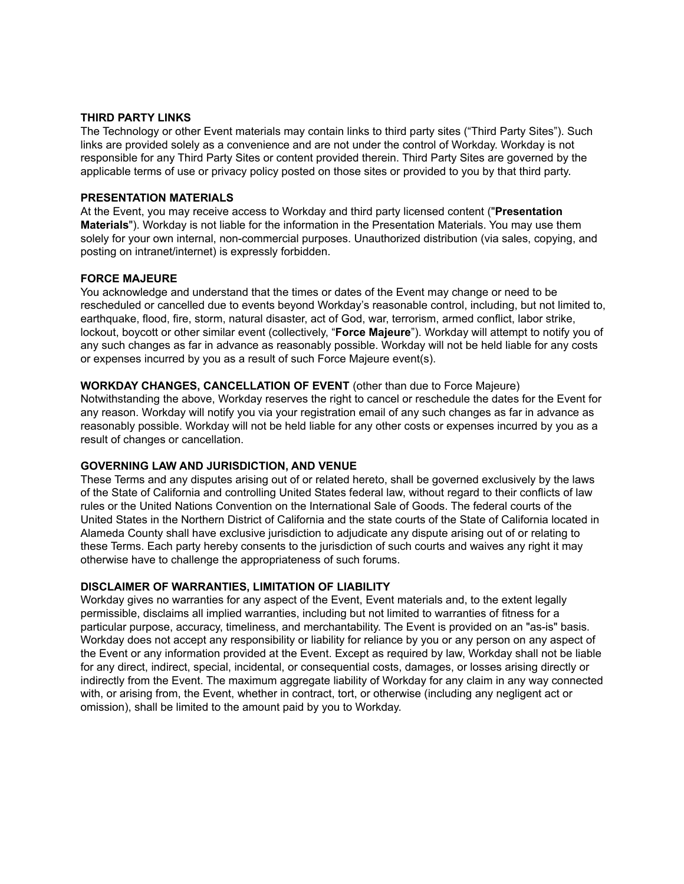## **THIRD PARTY LINKS**

The Technology or other Event materials may contain links to third party sites ("Third Party Sites"). Such links are provided solely as a convenience and are not under the control of Workday. Workday is not responsible for any Third Party Sites or content provided therein. Third Party Sites are governed by the applicable terms of use or privacy policy posted on those sites or provided to you by that third party.

#### **PRESENTATION MATERIALS**

At the Event, you may receive access to Workday and third party licensed content ("**Presentation Materials**"). Workday is not liable for the information in the Presentation Materials. You may use them solely for your own internal, non-commercial purposes. Unauthorized distribution (via sales, copying, and posting on intranet/internet) is expressly forbidden.

#### **FORCE MAJEURE**

You acknowledge and understand that the times or dates of the Event may change or need to be rescheduled or cancelled due to events beyond Workday's reasonable control, including, but not limited to, earthquake, flood, fire, storm, natural disaster, act of God, war, terrorism, armed conflict, labor strike, lockout, boycott or other similar event (collectively, "**Force Majeure**"). Workday will attempt to notify you of any such changes as far in advance as reasonably possible. Workday will not be held liable for any costs or expenses incurred by you as a result of such Force Majeure event(s).

#### **WORKDAY CHANGES, CANCELLATION OF EVENT** (other than due to Force Majeure)

Notwithstanding the above, Workday reserves the right to cancel or reschedule the dates for the Event for any reason. Workday will notify you via your registration email of any such changes as far in advance as reasonably possible. Workday will not be held liable for any other costs or expenses incurred by you as a result of changes or cancellation.

## **GOVERNING LAW AND JURISDICTION, AND VENUE**

These Terms and any disputes arising out of or related hereto, shall be governed exclusively by the laws of the State of California and controlling United States federal law, without regard to their conflicts of law rules or the United Nations Convention on the International Sale of Goods. The federal courts of the United States in the Northern District of California and the state courts of the State of California located in Alameda County shall have exclusive jurisdiction to adjudicate any dispute arising out of or relating to these Terms. Each party hereby consents to the jurisdiction of such courts and waives any right it may otherwise have to challenge the appropriateness of such forums.

## **DISCLAIMER OF WARRANTIES, LIMITATION OF LIABILITY**

Workday gives no warranties for any aspect of the Event, Event materials and, to the extent legally permissible, disclaims all implied warranties, including but not limited to warranties of fitness for a particular purpose, accuracy, timeliness, and merchantability. The Event is provided on an "as-is" basis. Workday does not accept any responsibility or liability for reliance by you or any person on any aspect of the Event or any information provided at the Event. Except as required by law, Workday shall not be liable for any direct, indirect, special, incidental, or consequential costs, damages, or losses arising directly or indirectly from the Event. The maximum aggregate liability of Workday for any claim in any way connected with, or arising from, the Event, whether in contract, tort, or otherwise (including any negligent act or omission), shall be limited to the amount paid by you to Workday.